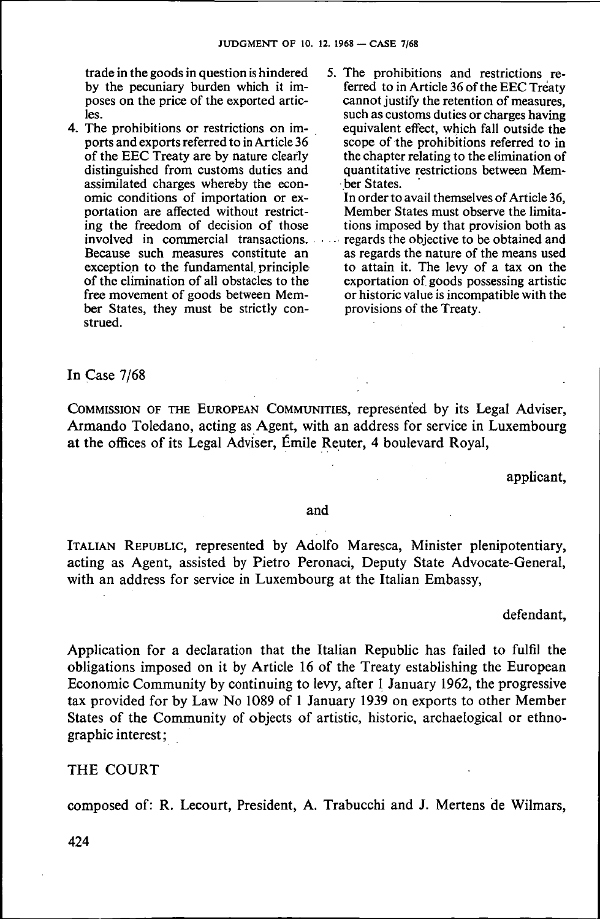trade in the goods in question is hindered by the pecuniary burden which it imposes on the price of the exported articles.

- 4. The prohibitions or restrictions on imports and exports referred to in Article 36 of the EEC Treaty are by nature clearly distinguished from customs duties and assimilated charges whereby the economic conditions of importation or exportation are affected without restricting the freedom of decision of those involved in commercial transactions. Because such measures constitute an exception to the fundamental, principle of the elimination of all obstacles to the free movement of goods between Member States, they must be strictly construed.
- 5. The prohibitions and restrictions referred to in Article <sup>36</sup> of the EEC Treaty cannot justify the retention of measures, such as customs duties or charges having equivalent effect, which fall outside the scope of the prohibitions referred to in the chapter relating to the elimination of quantitative restrictions between Member States.

In order to avail themselves of Article 36, Member States must observe the limitations imposed by that provision both as regards the objective to be obtained and as regards the nature of the means used to attain it. The levy of a tax on the exportation of goods possessing artistic or historic value is incompatible with the provisions of the Treaty.

### In Case 7/68

Commission of the European Communities , represented by its Legal Adviser, Armando Toledano, acting as Agent, with an address for service in Luxembourg at the offices of its Legal Adviser, Émile Reuter, <sup>4</sup> boulevard Royal,

applicant,

#### and

ITALIAN REPUBLIC, represented by Adolfo Maresca, Minister plenipotentiary, acting as Agent, assisted by Pietro Peronaci, Deputy State Advocate-General, with an address for service in Luxembourg at the Italian Embassy,

### defendant,

Application for a declaration that the Italian Republic has failed to fulfil the obligations imposed on it by Article <sup>16</sup> of the Treaty establishing the European Economic Community by continuing to levy, after <sup>1</sup> January 1962, the progressive tax provided for by Law No 1089 of <sup>1</sup> January 1939 on exports to other Member States of the Community of objects of artistic, historic, archaelogical or ethnographic interest;

#### THE COURT

composed of: R. Lecourt, President, A. Trabucchi and J. Mertens de Wilmars,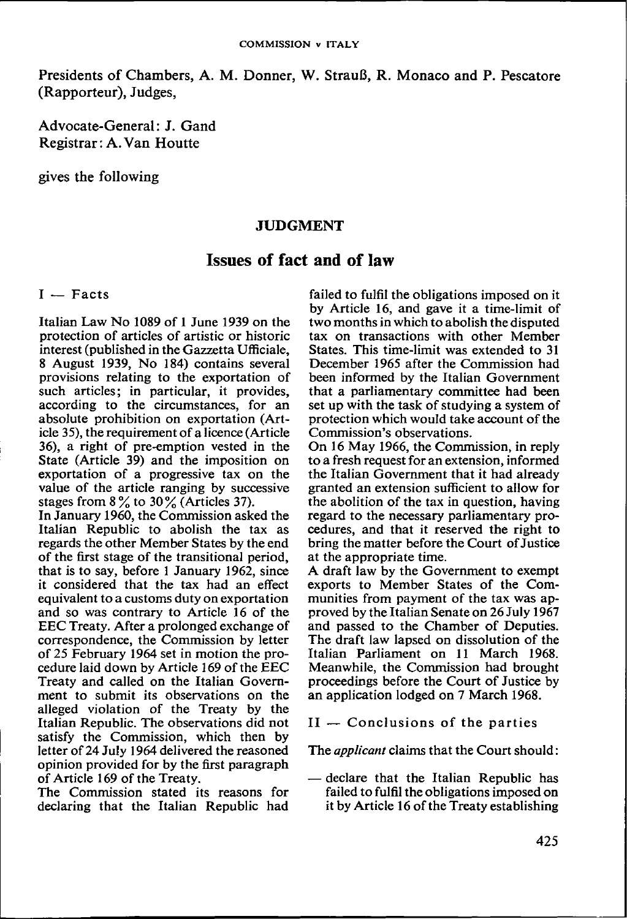Presidents of Chambers, A. M. Donner, W. Strauß, R. Monaco and P. Pescatore (Rapporteur), Judges,

Advocate-General: J. Gand Registrar: A.Van Houtte

gives the following

### JUDGMENT

# Issues of fact and of law

#### $I -$ Facts

Italian Law No 1089 of <sup>1</sup> June 1939 on the protection of articles of artistic or historic interest (published in the Gazzetta Ufficiale, <sup>8</sup> August 1939, No 184) contains several provisions relating to the exportation of such articles; in particular, it provides, according to the circumstances, for an absolute prohibition on exportation (Article 35), the requirement of <sup>a</sup> licence (Article 36), a right of pre-emption vested in the State (Article 39) and the imposition on exportation of a progressive tax on the value of the article ranging by successive stages from <sup>8</sup> % to 30% (Articles 37).

In January 1960, the Commission asked the Italian Republic to abolish the tax as regards the other Member States by the end of the first stage of the transitional period, that is to say, before <sup>1</sup> January 1962, since it considered that the tax had an effect equivalent to <sup>a</sup> customs duty on exportation and so was contrary to Article 16 of the EEC Treaty. After <sup>a</sup> prolonged exchange of correspondence, the Commission by letter of <sup>25</sup> February 1964 set in motion the procedure laid down by Article <sup>169</sup> of the EEC Treaty and called on the Italian Government to submit its observations on the alleged violation of the Treaty by the Italian Republic. The observations did not satisfy the Commission, which then by letter of <sup>24</sup> July 1964 delivered the reasoned opinion provided for by the first paragraph of Article 169 of the Treaty.

The Commission stated its reasons for declaring that the Italian Republic had failed to fulfil the obligations imposed on it by Article 16, and gave it a time-limit of two months in which to abolish the disputed tax on transactions with other Member States. This time-limit was extended to 31 December 1965 after the Commission had been informed by the Italian Government that a parliamentary committee had been set up with the task of studying <sup>a</sup> system of protection which would take account of the Commission's observations.

On <sup>16</sup> May 1966, the Commission, in reply to <sup>a</sup> fresh request for an extension, informed the Italian Government that it had already granted an extension sufficient to allow for the abolition of the tax in question, having regard to the necessary parliamentary procedures, and that it reserved the right to bring the matter before the Court of Justice at the appropriate time.

A draft law by the Government to exempt exports to Member States of the Communities from payment of the tax was approved by the Italian Senate on <sup>26</sup> July 1967 and passed to the Chamber of Deputies. The draft law lapsed on dissolution of the Italian Parliament on 11 March 1968. Meanwhile, the Commission had brought proceedings before the Court of Justice by an application lodged on <sup>7</sup> March 1968.

II — Conclusions of the parties

The *applicant* claims that the Court should:

— declare that the Italian Republic has failed to fulfil the obligations imposed on it by Article <sup>16</sup> of the Treaty establishing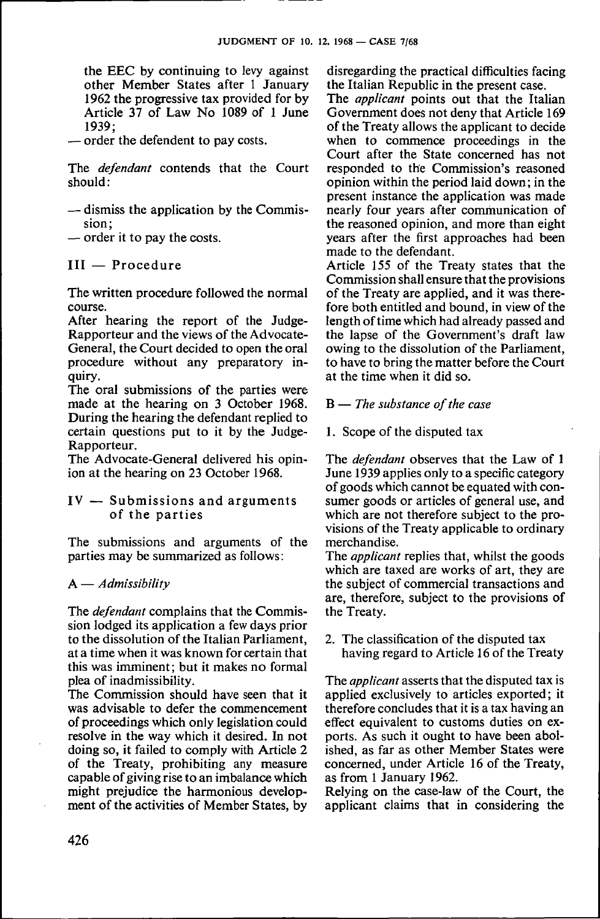the EEC by continuing to levy against other Member States after <sup>1</sup> January 1962 the progressive tax provided for by Article 37 of Law No <sup>1089</sup> of <sup>1</sup> June 1939:

— order the defendent to pay costs.

The *defendant* contends that the Court should:

- dismiss the application by the Commission;
- order it to pay the costs.

III — Procedure

The written procedure followed the normal course.

After hearing the report of the Judge-Rapporteur and the views of the Advocate-General, the Court decided to open the oral procedure without any preparatory inquiry.

The oral submissions of the parties were made at the hearing on 3 October 1968. During the hearing the defendant replied to certain questions put to it by the Judge-Rapporteur.

The Advocate-General delivered his opinion at the hearing on 23 October 1968.

#### IV — Submissions and arguments of the parties

The submissions and arguments of the parties may be summarized as follows:

#### A — *Admissibility*

The *defendant* complains that the Commission lodged its application <sup>a</sup> few days prior to the dissolution of the Italian Parliament, at <sup>a</sup> time when it was known for certain that this was imminent; but it makes no formal plea of inadmissibility.

The Commission should have seen that it was advisable to defer the commencement of proceedings which only legislation could resolve in the way which it desired. In not doing so, it failed to comply with Article 2 of the Treaty, prohibiting any measure capable of giving rise to an imbalance which might prejudice the harmonious development of the activities of Member States, by disregarding the practical difficulties facing the Italian Republic in the present case.

The *applicant* points out that the Italian Government does not deny that Article 169 of the Treaty allows the applicant to decide when to commence proceedings in the Court after the State concerned has not responded to the Commission's reasoned opinion within the period laid down; in the present instance the application was made nearly four years after communication of the reasoned opinion, and more than eight years after the first approaches had been made to the defendant.

Article 155 of the Treaty states that the Commission shall ensure that the provisions of the Treaty are applied, and it was therefore both entitled and bound, in view of the length of time which had already passed and the lapse of the Government's draft law owing to the dissolution of the Parliament, to have to bring the matter before the Court at the time when it did so.

- B *The substance of the case*
- 1. Scope of the disputed tax

The *defendant* observes that the Law of <sup>1</sup> June 1939 applies only to <sup>a</sup> specific category of goods which cannot be equated with consumer goods or articles of general use, and which are not therefore subject to the provisions of the Treaty applicable to ordinary merchandise.

The *applicant* replies that, whilst the goods which are taxed are works of art, they are the subject of commercial transactions and are, therefore, subject to the provisions of the Treaty.

2. The classification of the disputed tax having regard to Article <sup>16</sup> of the Treaty

The *applicant* asserts that the disputed tax is applied exclusively to articles exported; it therefore concludes that it is <sup>a</sup> tax having an effect equivalent to customs duties on exports. As such it ought to have been abolished, as far as other Member States were concerned, under Article <sup>16</sup> of the Treaty, as from <sup>1</sup> January 1962.

Relying on the case-law of the Court, the applicant claims that in considering the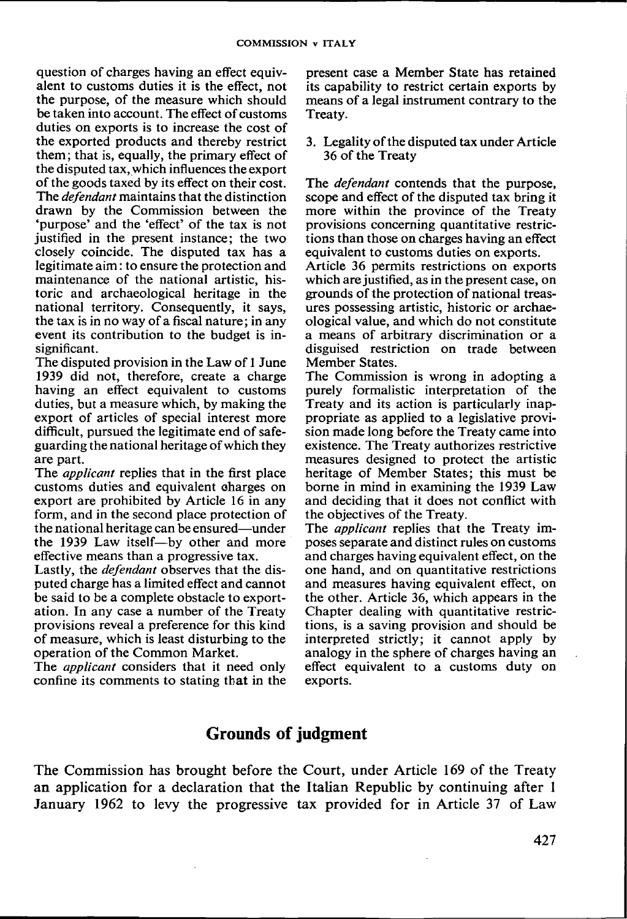question of charges having an effect equivalent to customs duties it is the effect, not the purpose, of the measure which should be taken into account. The effect of customs duties on exports is to increase the cost of the exported products and thereby restrict them; that is, equally, the primary effect of the disputed tax, which influences the export of the goods taxed by its effect on their cost. The *defendant* maintains that the distinction drawn by the Commission between the 'purpose' and the 'effect' of the tax is not justified in the present instance; the two closely coincide. The disputed tax has a legitimate aim : to ensure the protection and maintenance of the national artistic, historic and archaeological heritage in the national territory. Consequently, it says, the tax is in no way of <sup>a</sup> fiscal nature; in any event its contribution to the budget is insignificant.

The disputed provision in the Law of <sup>1</sup> June 1939 did not, therefore, create a charge having an effect equivalent to customs duties, but <sup>a</sup> measure which, by making the export of articles of special interest more difficult, pursued the legitimate end of safeguarding the national heritage of which they are part.

The *applicant* replies that in the first place customs duties and equivalent charges on export are prohibited by Article <sup>16</sup> in any form, and in the second place protection of the national heritage can be ensured—under the 1939 Law itself—by other and more effective means than <sup>a</sup> progressive tax.

Lastly, the *defendant* observes that the disputed charge has <sup>a</sup> limited effect and cannot be said to be <sup>a</sup> complete obstacle to exportation. In any case <sup>a</sup> number of the Treaty provisions reveal <sup>a</sup> preference for this kind of measure, which is least disturbing to the operation of the Common Market.

The *applicant* considers that it need only confine its comments to stating that in the present case a Member State has retained its capability to restrict certain exports by means of <sup>a</sup> legal instrument contrary to the Treaty.

3. Legality of the disputed tax under Article <sup>36</sup> of the Treaty

The *defendant* contends that the purpose, scope and effect of the disputed tax bring it more within the province of the Treaty provisions concerning quantitative restrictions than those on charges having an effect equivalent to customs duties on exports.

Article 36 permits restrictions on exports which are justified, as in the present case, on grounds of the protection of national treasures possessing artistic, historic or archaeological value, and which do not constitute a means of arbitrary discrimination or a disguised restriction on trade between Member States.

The Commission is wrong in adopting a purely formalistic interpretation of the Treaty and its action is particularly inappropriate as applied to <sup>a</sup> legislative provision made long before the Treaty came into existence. The Treaty authorizes restrictive measures designed to protect the artistic heritage of Member States; this must be borne in mind in examining the 1939 Law and deciding that it does not conflict with the objectives of the Treaty.

The *applicant* replies that the Treaty imposes separate and distinct rules on customs and charges having equivalent effect, on the one hand, and on quantitative restrictions and measures having equivalent effect, on the other. Article 36, which appears in the Chapter dealing with quantitative restrictions, is <sup>a</sup> saving provision and should be interpreted strictly; it cannot apply by analogy in the sphere of charges having an effect equivalent to a customs duty on exports.

# Grounds of judgment

The Commission has brought before the Court, under Article 169 of the Treaty an application for a declaration that the Italian Republic by continuing after <sup>1</sup> January 1962 to levy the progressive tax provided for in Article 37 of Law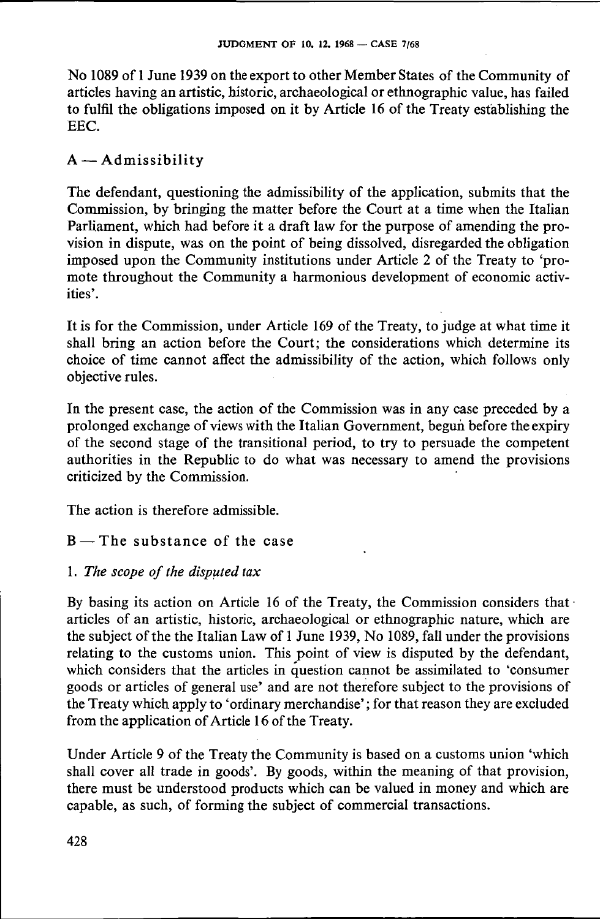No <sup>1089</sup> of <sup>1</sup> June <sup>1939</sup> on the export to other Member States of the Community of articles having an artistic, historic, archaeological or ethnographic value, has failed to fulfil the obligations imposed on it by Article <sup>16</sup> of the Treaty establishing the EEC.

# <sup>A</sup> — Admissibility

The defendant, questioning the admissibility of the application, submits that the Commission, by bringing the matter before the Court at <sup>a</sup> time when the Italian Parliament, which had before it <sup>a</sup> draft law for the purpose of amending the provision in dispute, was on the point of being dissolved, disregarded the obligation imposed upon the Community institutions under Article 2 of the Treaty to 'promote throughout the Community <sup>a</sup> harmonious development of economic activities'.

It is for the Commission, under Article <sup>169</sup> of the Treaty, to judge at what time it shall bring an action before the Court; the considerations which determine its choice of time cannot affect the admissibility of the action, which follows only objective rules.

In the present case, the action of the Commission was in any case preceded by a prolonged exchange of views with the Italian Government, begun before the expiry of the second stage of the transitional period, to try to persuade the competent authorities in the Republic to do what was necessary to amend the provisions criticized by the Commission.

The action is therefore admissible.

# $B$  — The substance of the case

# 1. *The scope of the disputed tax*

By basing its action on Article 16 of the Treaty, the Commission considers that articles of an artistic, historic, archaeological or ethnographic nature, which are the subject of the the Italian Law of <sup>1</sup> June 1939, No 1089, fall under the provisions relating to the customs union. This point of view is disputed by the defendant, which considers that the articles in question cannot be assimilated to 'consumer goods or articles of general use' and are not therefore subject to the provisions of the Treaty which apply to 'ordinary merchandise'; for that reason they are excluded from the application of Article <sup>16</sup> of the Treaty.

Under Article <sup>9</sup> of the Treaty the Community is based on <sup>a</sup> customs union 'which shall cover all trade in goods'. By goods, within the meaning of that provision, there must be understood products which can be valued in money and which are capable, as such, of forming the subject of commercial transactions.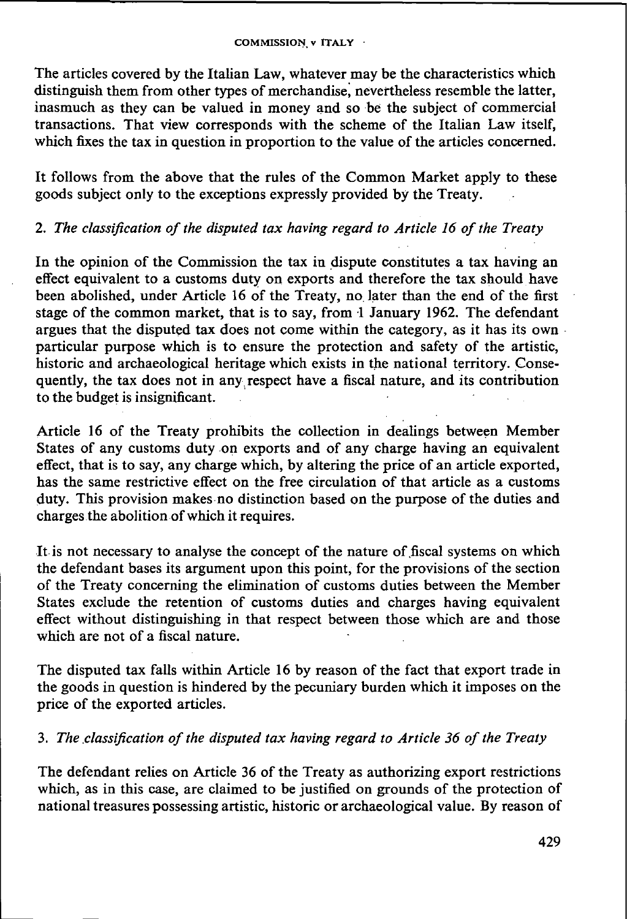The articles covered by the Italian Law, whatever may be the characteristics which distinguish them from other types of merchandise, nevertheless resemble the latter, inasmuch as they can be valued in money and so be the subject of commercial transactions. That view corresponds with the scheme of the Italian Law itself, which fixes the tax in question in proportion to the value of the articles concerned.

It follows from the above that the rules of the Common Market apply to these goods subject only to the exceptions expressly provided by the Treaty.

## 2. *The classification of the disputed tax having regard to Article <sup>16</sup> of the Treaty*

In the opinion of the Commission the tax in dispute constitutes a tax having an effect equivalent to <sup>a</sup> customs duty on exports and therefore the tax should have been abolished, under Article <sup>16</sup> of the Treaty, no. later than the end of the first stage of the common market, that is to say, from <sup>1</sup> January 1962. The defendant argues that the disputed tax does not come within the category, as it has its own particular purpose which is to ensure the protection and safety of the artistic, historic and archaeological heritage which exists in the national territory. Consequently, the tax does not in any respect have <sup>a</sup> fiscal nature, and its contribution to the budget is insignificant.

Article 16 of the Treaty prohibits the collection in dealings between Member States of any customs duty on exports and of any charge having an equivalent effect, that is to say, any charge which, by altering the price of an article exported, has the same restrictive effect on the free circulation of that article as a customs duty. This provision makes no distinction based on the purpose of the duties and charges the abolition of which it requires.

It is not necessary to analyse the concept of the nature of fiscal systems on which the defendant bases its argument upon this point, for the provisions of the section of the Treaty concerning the elimination of customs duties between the Member States exclude the retention of customs duties and charges having equivalent effect without distinguishing in that respect between those which are and those which are not of <sup>a</sup> fiscal nature.

The disputed tax falls within Article <sup>16</sup> by reason of the fact that export trade in the goods in question is hindered by the pecuniary burden which it imposes on the price of the exported articles.

## 3. *The classification of the disputed tax having regard to Article <sup>36</sup> of the Treaty*

The defendant relies on Article 36 of the Treaty as authorizing export restrictions which, as in this case, are claimed to be justified on grounds of the protection of national treasures possessing artistic, historic or archaeological value. By reason of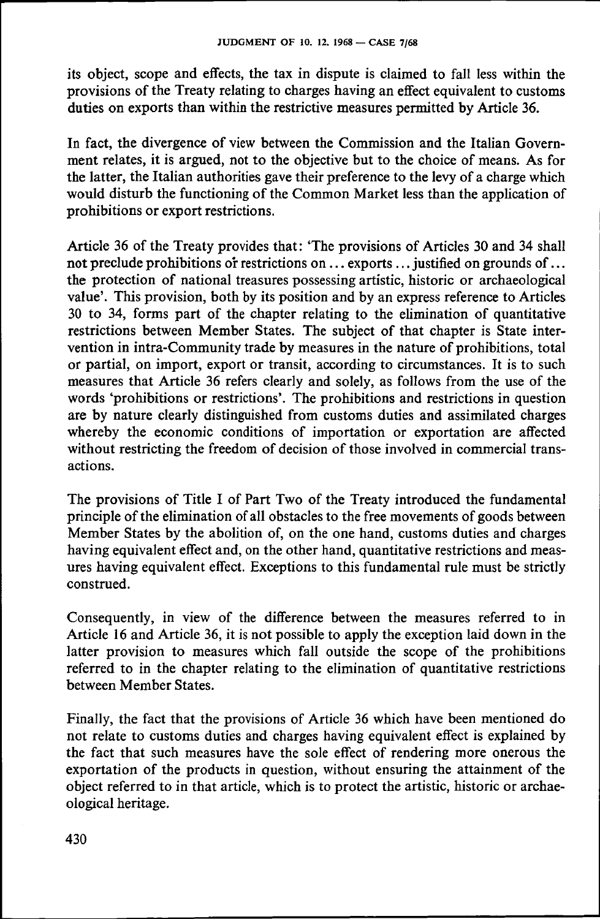its object, scope and effects, the tax in dispute is claimed to fall less within the provisions of the Treaty relating to charges having an effect equivalent to customs duties on exports than within the restrictive measures permitted by Article 36.

In fact, the divergence of view between the Commission and the Italian Government relates, it is argued, not to the objective but to the choice of means. As for the latter, the Italian authorities gave their preference to the levy of <sup>a</sup> charge which would disturb the functioning of the Common Market less than the application of prohibitions or export restrictions.

Article 36 of the Treaty provides that: 'The provisions of Articles <sup>30</sup> and 34 shall not preclude prohibitions or restrictions on ... exports ... justified on grounds of ... the protection of national treasures possessing artistic, historic or archaeological value'. This provision, both by its position and by an express reference to Articles 30 to 34, forms part of the chapter relating to the elimination of quantitative restrictions between Member States. The subject of that chapter is State intervention in intra-Community trade by measures in the nature of prohibitions, total or partial, on import, export or transit, according to circumstances. It is to such measures that Article 36 refers clearly and solely, as follows from the use of the words 'prohibitions or restrictions'. The prohibitions and restrictions in question are by nature clearly distinguished from customs duties and assimilated charges whereby the economic conditions of importation or exportation are affected without restricting the freedom of decision of those involved in commercial transactions.

The provisions of Title I of Part Two of the Treaty introduced the fundamental principle of the elimination of all obstacles to the free movements of goods between Member States by the abolition of, on the one hand, customs duties and charges having equivalent effect and, on the other hand, quantitative restrictions and measures having equivalent effect. Exceptions to this fundamental rule must be strictly construed.

Consequently, in view of the difference between the measures referred to in Article <sup>16</sup> and Article 36, it is not possible to apply the exception laid down in the latter provision to measures which fall outside the scope of the prohibitions referred to in the chapter relating to the elimination of quantitative restrictions between Member States.

Finally, the fact that the provisions of Article <sup>36</sup> which have been mentioned do not relate to customs duties and charges having equivalent effect is explained by the fact that such measures have the sole effect of rendering more onerous the exportation of the products in question, without ensuring the attainment of the object referred to in that article, which is to protect the artistic, historic or archaeological heritage.